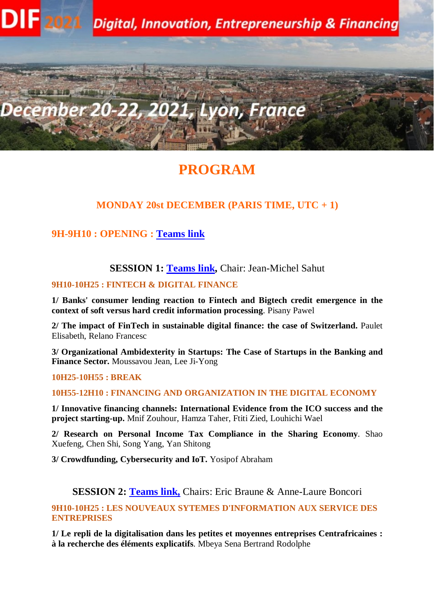

# **PROGRAM**

### **MONDAY 20st DECEMBER (PARIS TIME, UTC + 1)**

### **9H-9H10 : OPENING : [Teams link](https://teams.microsoft.com/l/meetup-join/19%3ameeting_ZWNlMDVjY2MtYmUyNS00MTAxLTljMGMtN2NjMWIwYTJkNGU3%40thread.v2/0?context=%7b%22Tid%22%3a%2241de3d62-e522-457d-af39-e4a9ecf064f8%22%2c%22Oid%22%3a%226369320a-2826-4fab-ab34-9fd6f78079dd%22%7d)**

#### **SESSION 1: [Teams link,](https://teams.microsoft.com/l/meetup-join/19%3ameeting_ZWNlMDVjY2MtYmUyNS00MTAxLTljMGMtN2NjMWIwYTJkNGU3%40thread.v2/0?context=%7b%22Tid%22%3a%2241de3d62-e522-457d-af39-e4a9ecf064f8%22%2c%22Oid%22%3a%226369320a-2826-4fab-ab34-9fd6f78079dd%22%7d) Chair: Jean-Michel Sahut**

### **9H10-10H25 : FINTECH & DIGITAL FINANCE**

**1/ Banks' consumer lending reaction to Fintech and Bigtech credit emergence in the context of soft versus hard credit information processing**. Pisany Pawel

**2/ The impact of FinTech in sustainable digital finance: the case of Switzerland.** Paulet Elisabeth, Relano Francesc

**3/ Organizational Ambidexterity in Startups: The Case of Startups in the Banking and Finance Sector.** Moussavou Jean, Lee Ji-Yong

#### **10H25-10H55 : BREAK**

#### **10H55-12H10 : FINANCING AND ORGANIZATION IN THE DIGITAL ECONOMY**

**1/ Innovative financing channels: International Evidence from the ICO success and the project starting-up.** Mnif Zouhour, Hamza Taher, Ftiti Zied, Louhichi Wael

**2/ Research on Personal Income Tax Compliance in the Sharing Economy**. Shao Xuefeng, Chen Shi, Song Yang, Yan Shitong

**3/ Crowdfunding, Cybersecurity and IoT.** Yosipof Abraham

### **SESSION 2: [Teams link,](https://teams.microsoft.com/l/meetup-join/19%3ameeting_M2Q5YmQyNjUtNjUwOC00MjZiLTgyNjMtMGIxNDI3NzdlZjQ3%40thread.v2/0?context=%7b%22Tid%22%3a%221eb34f73-38dd-42db-98db-53b54e749d52%22%2c%22Oid%22%3a%2279749557-aa14-4c9f-807b-7f857fc7220d%22%7d)** Chairs: Eric Braune & Anne-Laure Boncori

#### **9H10-10H25 : LES NOUVEAUX SYTEMES D'INFORMATION AUX SERVICE DES ENTREPRISES**

**1/ Le repli de la digitalisation dans les petites et moyennes entreprises Centrafricaines : à la recherche des éléments explicatifs**. Mbeya Sena Bertrand Rodolphe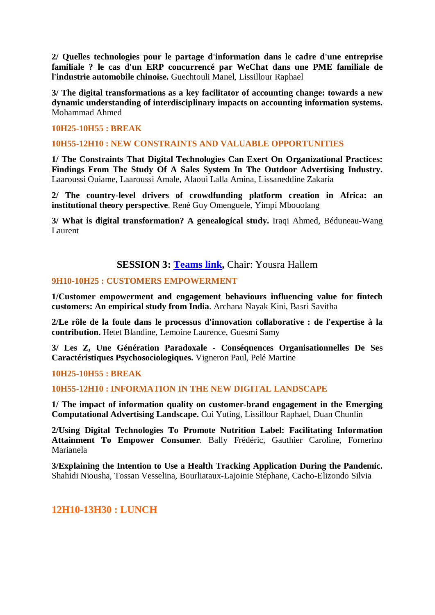**2/ Quelles technologies pour le partage d'information dans le cadre d'une entreprise familiale ? le cas d'un ERP concurrencé par WeChat dans une PME familiale de l'industrie automobile chinoise.** Guechtouli Manel, Lissillour Raphael

**3/ The digital transformations as a key facilitator of accounting change: towards a new dynamic understanding of interdisciplinary impacts on accounting information systems.**  Mohammad Ahmed

#### **10H25-10H55 : BREAK**

#### **10H55-12H10 : NEW CONSTRAINTS AND VALUABLE OPPORTUNITIES**

**1/ The Constraints That Digital Technologies Can Exert On Organizational Practices: Findings From The Study Of A Sales System In The Outdoor Advertising Industry.** Laaroussi Ouiame, Laaroussi Amale, Alaoui Lalla Amina, Lissaneddine Zakaria

**2/ The country-level drivers of crowdfunding platform creation in Africa: an institutional theory perspective**. René Guy Omenguele, Yimpi Mbouolang

**3/ What is digital transformation? A genealogical study.** Iraqi Ahmed, Béduneau-Wang Laurent

### **SESSION 3: [Teams link,](https://teams.microsoft.com/l/meetup-join/19%3ameeting_MWNjZTlhNjEtZDUyNi00MWRlLTliYjQtMDBjNmYxNmRjNjcy%40thread.v2/0?context=%7b%22Tid%22%3a%2241de3d62-e522-457d-af39-e4a9ecf064f8%22%2c%22Oid%22%3a%221f9f3c27-d044-4d2d-942f-5886ebad09ab%22%7d)** Chair: Yousra Hallem

#### **9H10-10H25 : CUSTOMERS EMPOWERMENT**

**1/Customer empowerment and engagement behaviours influencing value for fintech customers: An empirical study from India**. Archana Nayak Kini, Basri Savitha

**2/Le rôle de la foule dans le processus d'innovation collaborative : de l'expertise à la contribution.** Hetet Blandine, Lemoine Laurence, Guesmi Samy

**3/ Les Z, Une Génération Paradoxale - Conséquences Organisationnelles De Ses Caractéristiques Psychosociologiques.** Vigneron Paul, Pelé Martine

#### **10H25-10H55 : BREAK**

**10H55-12H10 : INFORMATION IN THE NEW DIGITAL LANDSCAPE**

**1/ The impact of information quality on customer-brand engagement in the Emerging Computational Advertising Landscape.** Cui Yuting, Lissillour Raphael, Duan Chunlin

**2/Using Digital Technologies To Promote Nutrition Label: Facilitating Information Attainment To Empower Consumer**. Bally Frédéric, Gauthier Caroline, Fornerino Marianela

**3/Explaining the Intention to Use a Health Tracking Application During the Pandemic.**  Shahidi Niousha, Tossan Vesselina, Bourliataux-Lajoinie Stéphane, Cacho-Elizondo Silvia

#### **12H10-13H30 : LUNCH**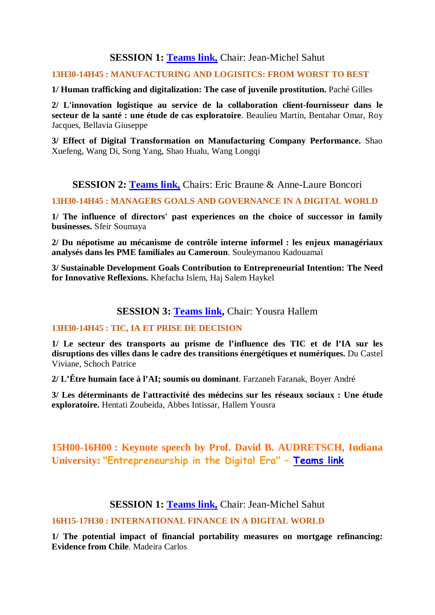### **SESSION 1: [Teams link,](https://teams.microsoft.com/l/meetup-join/19%3ameeting_ZWNlMDVjY2MtYmUyNS00MTAxLTljMGMtN2NjMWIwYTJkNGU3%40thread.v2/0?context=%7b%22Tid%22%3a%2241de3d62-e522-457d-af39-e4a9ecf064f8%22%2c%22Oid%22%3a%226369320a-2826-4fab-ab34-9fd6f78079dd%22%7d)** Chair: Jean-Michel Sahut

#### **13H30-14H45 : MANUFACTURING AND LOGISITCS: FROM WORST TO BEST**

**1/ Human trafficking and digitalization: The case of juvenile prostitution.** Paché Gilles

**2/ L'innovation logistique au service de la collaboration client-fournisseur dans le secteur de la santé : une étude de cas exploratoire**. Beaulieu Martin, Bentahar Omar, Roy Jacques, Bellavia Giuseppe

**3/ Effect of Digital Transformation on Manufacturing Company Performance.** Shao Xuefeng, Wang Di, Song Yang, Shao Hualu, Wang Longqi

### **SESSION 2: [Teams link,](https://teams.microsoft.com/l/meetup-join/19%3ameeting_M2Q5YmQyNjUtNjUwOC00MjZiLTgyNjMtMGIxNDI3NzdlZjQ3%40thread.v2/0?context=%7b%22Tid%22%3a%221eb34f73-38dd-42db-98db-53b54e749d52%22%2c%22Oid%22%3a%2279749557-aa14-4c9f-807b-7f857fc7220d%22%7d)** Chairs: Eric Braune & Anne-Laure Boncori

#### **13H30-14H45 : MANAGERS GOALS AND GOVERNANCE IN A DIGITAL WORLD**

**1/ The influence of directors' past experiences on the choice of successor in family businesses.** Sfeir Soumaya

**2/ Du népotisme au mécanisme de contrôle interne informel : les enjeux managériaux analysés dans les PME familiales au Cameroun**. Souleymanou Kadouamaï

**3/ Sustainable Development Goals Contribution to Entrepreneurial Intention: The Need for Innovative Reflexions.** Khefacha Islem, Haj Salem Haykel

### **SESSION 3: [Teams link,](https://teams.microsoft.com/l/meetup-join/19%3ameeting_MWNjZTlhNjEtZDUyNi00MWRlLTliYjQtMDBjNmYxNmRjNjcy%40thread.v2/0?context=%7b%22Tid%22%3a%2241de3d62-e522-457d-af39-e4a9ecf064f8%22%2c%22Oid%22%3a%221f9f3c27-d044-4d2d-942f-5886ebad09ab%22%7d)** Chair: Yousra Hallem

#### **13H30-14H45 : TIC, IA ET PRISE DE DECISION**

**1/ Le secteur des transports au prisme de l'influence des TIC et de l'IA sur les disruptions des villes dans le cadre des transitions énergétiques et numériques.** Du Castel Viviane, Schoch Patrice

**2/ L'Être humain face à l'AI; soumis ou dominant**. Farzaneh Faranak, Boyer André

**3/ Les déterminants de l'attractivité des médecins sur les réseaux sociaux : Une étude exploratoire.** Hentati Zoubeida, Abbes Intissar, Hallem Yousra

# **15H00-16H00 : Keynote speech by Prof. David B. AUDRETSCH, Indiana University: "Entrepreneurship in the Digital Era" – [Teams link](https://teams.microsoft.com/l/meetup-join/19%3ameeting_ZWNlMDVjY2MtYmUyNS00MTAxLTljMGMtN2NjMWIwYTJkNGU3%40thread.v2/0?context=%7b%22Tid%22%3a%2241de3d62-e522-457d-af39-e4a9ecf064f8%22%2c%22Oid%22%3a%226369320a-2826-4fab-ab34-9fd6f78079dd%22%7d)**

### **SESSION 1: [Teams link,](https://teams.microsoft.com/l/meetup-join/19%3ameeting_ZWNlMDVjY2MtYmUyNS00MTAxLTljMGMtN2NjMWIwYTJkNGU3%40thread.v2/0?context=%7b%22Tid%22%3a%2241de3d62-e522-457d-af39-e4a9ecf064f8%22%2c%22Oid%22%3a%226369320a-2826-4fab-ab34-9fd6f78079dd%22%7d)** Chair: Jean-Michel Sahut

#### **16H15-17H30 : INTERNATIONAL FINANCE IN A DIGITAL WORLD**

**1/ The potential impact of financial portability measures on mortgage refinancing: Evidence from Chile**. Madeira Carlos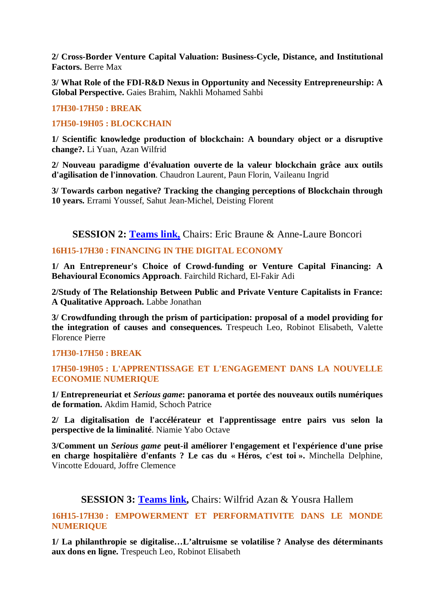**2/ Cross-Border Venture Capital Valuation: Business-Cycle, Distance, and Institutional Factors.** Berre Max

**3/ What Role of the FDI-R&D Nexus in Opportunity and Necessity Entrepreneurship: A Global Perspective.** Gaies Brahim, Nakhli Mohamed Sahbi

#### **17H30-17H50 : BREAK**

#### **17H50-19H05 : BLOCKCHAIN**

**1/ Scientific knowledge production of blockchain: A boundary object or a disruptive change?.** Li Yuan, Azan Wilfrid

**2/ Nouveau paradigme d'évaluation ouverte de la valeur blockchain grâce aux outils d'agilisation de l'innovation**. Chaudron Laurent, Paun Florin, Vaileanu Ingrid

**3/ Towards carbon negative? Tracking the changing perceptions of Blockchain through 10 years.** Errami Youssef, Sahut Jean-Michel, Deisting Florent

**SESSION 2: [Teams link,](https://teams.microsoft.com/l/meetup-join/19%3ameeting_M2Q5YmQyNjUtNjUwOC00MjZiLTgyNjMtMGIxNDI3NzdlZjQ3%40thread.v2/0?context=%7b%22Tid%22%3a%221eb34f73-38dd-42db-98db-53b54e749d52%22%2c%22Oid%22%3a%2279749557-aa14-4c9f-807b-7f857fc7220d%22%7d) Chairs: Eric Braune & Anne-Laure Boncori** 

#### **16H15-17H30 : FINANCING IN THE DIGITAL ECONOMY**

**1/ An Entrepreneur's Choice of Crowd-funding or Venture Capital Financing: A Behavioural Economics Approach**. Fairchild Richard, El-Fakir Adi

**2/Study of The Relationship Between Public and Private Venture Capitalists in France: A Qualitative Approach.** Labbe Jonathan

**3/ Crowdfunding through the prism of participation: proposal of a model providing for the integration of causes and consequences.** Trespeuch Leo, Robinot Elisabeth, Valette Florence Pierre

#### **17H30-17H50 : BREAK**

#### **17H50-19H05 : L'APPRENTISSAGE ET L'ENGAGEMENT DANS LA NOUVELLE ECONOMIE NUMERIQUE**

**1/ Entrepreneuriat et** *Serious game***: panorama et portée des nouveaux outils numériques de formation.** Akdim Hamid, Schoch Patrice

**2/ La digitalisation de l'accélérateur et l'apprentissage entre pairs vus selon la perspective de la liminalité**. Niamie Yabo Octave

**3/Comment un** *Serious game* **peut-il améliorer l'engagement et l'expérience d'une prise en charge hospitalière d'enfants ? Le cas du « Héros, c'est toi ».** Minchella Delphine, Vincotte Edouard, Joffre Clemence

### **SESSION 3: [Teams link,](https://teams.microsoft.com/l/meetup-join/19%3ameeting_MWNjZTlhNjEtZDUyNi00MWRlLTliYjQtMDBjNmYxNmRjNjcy%40thread.v2/0?context=%7b%22Tid%22%3a%2241de3d62-e522-457d-af39-e4a9ecf064f8%22%2c%22Oid%22%3a%221f9f3c27-d044-4d2d-942f-5886ebad09ab%22%7d)** Chairs: Wilfrid Azan & Yousra Hallem

**16H15-17H30 : EMPOWERMENT ET PERFORMATIVITE DANS LE MONDE NUMERIQUE**

**1/ La philanthropie se digitalise…L'altruisme se volatilise ? Analyse des déterminants aux dons en ligne.** Trespeuch Leo, Robinot Elisabeth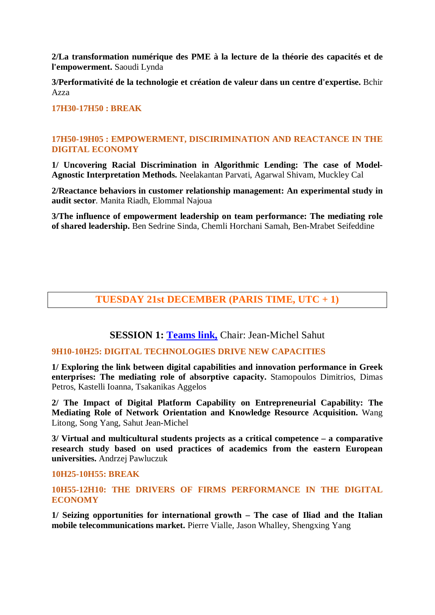**2/La transformation numérique des PME à la lecture de la théorie des capacités et de l'empowerment.** Saoudi Lynda

**3/Performativité de la technologie et création de valeur dans un centre d'expertise.** Bchir Azza

**17H30-17H50 : BREAK**

#### **17H50-19H05 : EMPOWERMENT, DISCIRIMINATION AND REACTANCE IN THE DIGITAL ECONOMY**

**1/ Uncovering Racial Discrimination in Algorithmic Lending: The case of Model-Agnostic Interpretation Methods.** Neelakantan Parvati, Agarwal Shivam, Muckley Cal

**2/Reactance behaviors in customer relationship management: An experimental study in audit sector**. Manita Riadh, Elommal Najoua

**3/The influence of empowerment leadership on team performance: The mediating role of shared leadership.** Ben Sedrine Sinda, Chemli Horchani Samah, Ben-Mrabet Seifeddine

### **TUESDAY 21st DECEMBER (PARIS TIME, UTC + 1)**

**SESSION 1: [Teams link,](https://teams.microsoft.com/l/meetup-join/19%3ameeting_MjEwOGM2ZDAtNmRjYi00MTAxLWFmZDAtNTdjYzg5MjVhMjYx%40thread.v2/0?context=%7b%22Tid%22%3a%2241de3d62-e522-457d-af39-e4a9ecf064f8%22%2c%22Oid%22%3a%226369320a-2826-4fab-ab34-9fd6f78079dd%22%7d)** Chair: Jean-Michel Sahut

#### **9H10-10H25: DIGITAL TECHNOLOGIES DRIVE NEW CAPACITIES**

**1/ Exploring the link between digital capabilities and innovation performance in Greek enterprises: The mediating role of absorptive capacity.** Stamopoulos Dimitrios, Dimas Petros, Kastelli Ioanna, Tsakanikas Aggelos

**2/ The Impact of Digital Platform Capability on Entrepreneurial Capability: The Mediating Role of Network Orientation and Knowledge Resource Acquisition.** Wang Litong, Song Yang, Sahut Jean-Michel

**3/ Virtual and multicultural students projects as a critical competence – a comparative research study based on used practices of academics from the eastern European universities.** Andrzej Pawluczuk

#### **10H25-10H55: BREAK**

**10H55-12H10: THE DRIVERS OF FIRMS PERFORMANCE IN THE DIGITAL ECONOMY**

**1/ Seizing opportunities for international growth – The case of Iliad and the Italian mobile telecommunications market.** Pierre Vialle, Jason Whalley, Shengxing Yang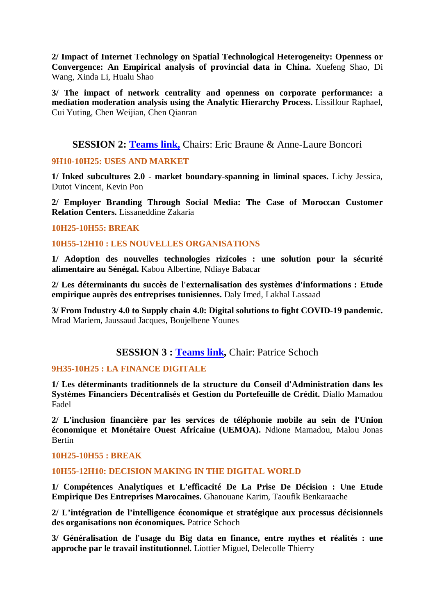**2/ Impact of Internet Technology on Spatial Technological Heterogeneity: Openness or Convergence: An Empirical analysis of provincial data in China.** Xuefeng Shao, Di Wang, Xinda Li, Hualu Shao

**3/ The impact of network centrality and openness on corporate performance: a mediation moderation analysis using the Analytic Hierarchy Process.** Lissillour Raphael, Cui Yuting, Chen Weijian, Chen Qianran

### **SESSION 2: [Teams link,](https://teams.microsoft.com/l/meetup-join/19%3ameeting_OGU1NGViN2MtMGRiYi00ZjNkLWI3ODAtYzFlNTJkMjc5MmRm%40thread.v2/0?context=%7b%22Tid%22%3a%221eb34f73-38dd-42db-98db-53b54e749d52%22%2c%22Oid%22%3a%2279749557-aa14-4c9f-807b-7f857fc7220d%22%7d)** Chairs: Eric Braune & Anne-Laure Boncori

#### **9H10-10H25: USES AND MARKET**

**1/ Inked subcultures 2.0 - market boundary-spanning in liminal spaces.** Lichy Jessica, Dutot Vincent, Kevin Pon

**2/ Employer Branding Through Social Media: The Case of Moroccan Customer Relation Centers.** Lissaneddine Zakaria

#### **10H25-10H55: BREAK**

#### **10H55-12H10 : LES NOUVELLES ORGANISATIONS**

**1/ Adoption des nouvelles technologies rizicoles : une solution pour la sécurité alimentaire au Sénégal.** Kabou Albertine, Ndiaye Babacar

**2/ Les déterminants du succès de l'externalisation des systèmes d'informations : Etude empirique auprès des entreprises tunisiennes.** Daly Imed, Lakhal Lassaad

**3/ From Industry 4.0 to Supply chain 4.0: Digital solutions to fight COVID-19 pandemic.**  Mrad Mariem, Jaussaud Jacques, Boujelbene Younes

### **SESSION 3 : [Teams link,](https://teams.microsoft.com/l/meetup-join/19%3ameeting_YzQwMDIyYmMtYmU2NC00YTA0LWFmYTMtZjAwY2M3NjhjZmE4%40thread.v2/0?context=%7b%22Tid%22%3a%2241de3d62-e522-457d-af39-e4a9ecf064f8%22%2c%22Oid%22%3a%221f9f3c27-d044-4d2d-942f-5886ebad09ab%22%7d)** Chair: Patrice Schoch

### **9H35-10H25 : LA FINANCE DIGITALE**

**1/ Les déterminants traditionnels de la structure du Conseil d'Administration dans les Systémes Financiers Décentralisés et Gestion du Portefeuille de Crédit.** Diallo Mamadou Fadel

**2/ L'inclusion financière par les services de téléphonie mobile au sein de l'Union économique et Monétaire Ouest Africaine (UEMOA).** Ndione Mamadou, Malou Jonas Bertin

#### **10H25-10H55 : BREAK**

#### **10H55-12H10: DECISION MAKING IN THE DIGITAL WORLD**

**1/ Compétences Analytiques et L'efficacité De La Prise De Décision : Une Etude Empirique Des Entreprises Marocaines.** Ghanouane Karim, Taoufik Benkaraache

**2/ L'intégration de l'intelligence économique et stratégique aux processus décisionnels des organisations non économiques.** Patrice Schoch

**3/ Généralisation de l'usage du Big data en finance, entre mythes et réalités : une approche par le travail institutionnel.** Liottier Miguel, Delecolle Thierry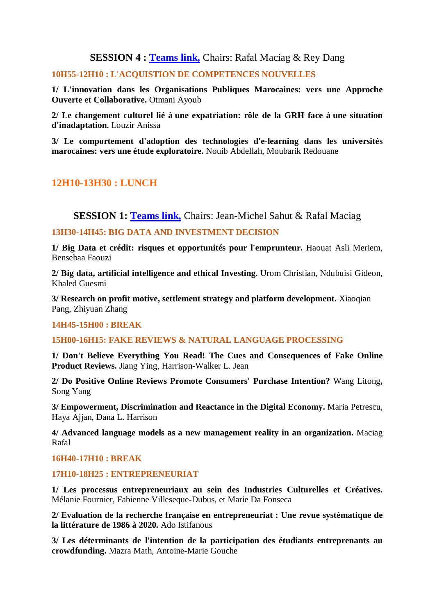**SESSION 4 : [Teams link,](https://teams.microsoft.com/l/meetup-join/19%3ameeting_NTBkZThiNDEtMjI2Yi00ZmMxLWJjOGYtM2RmODYyYTQ0ZDlm%40thread.v2/0?context=%7b%22Tid%22%3a%2241de3d62-e522-457d-af39-e4a9ecf064f8%22%2c%22Oid%22%3a%2253a7f183-c631-43e1-9568-65640adbad3b%22%7d)** Chairs: Rafal Maciag & Rey Dang

#### **10H55-12H10 : L'ACQUISTION DE COMPETENCES NOUVELLES**

**1/ L'innovation dans les Organisations Publiques Marocaines: vers une Approche Ouverte et Collaborative.** Otmani Ayoub

**2/ Le changement culturel lié à une expatriation: rôle de la GRH face à une situation d'inadaptation.** Louzir Anissa

**3/ Le comportement d'adoption des technologies d'e-learning dans les universités marocaines: vers une étude exploratoire.** Nouib Abdellah, Moubarik Redouane

# **12H10-13H30 : LUNCH**

**SESSION 1: [Teams link,](https://teams.microsoft.com/l/meetup-join/19%3ameeting_MjEwOGM2ZDAtNmRjYi00MTAxLWFmZDAtNTdjYzg5MjVhMjYx%40thread.v2/0?context=%7b%22Tid%22%3a%2241de3d62-e522-457d-af39-e4a9ecf064f8%22%2c%22Oid%22%3a%226369320a-2826-4fab-ab34-9fd6f78079dd%22%7d)** Chairs: Jean-Michel Sahut & Rafal Maciag

#### **13H30-14H45: BIG DATA AND INVESTMENT DECISION**

**1/ Big Data et crédit: risques et opportunités pour l'emprunteur.** Haouat Asli Meriem, Bensebaa Faouzi

**2/ Big data, artificial intelligence and ethical Investing.** Urom Christian, Ndubuisi Gideon, Khaled Guesmi

**3/ Research on profit motive, settlement strategy and platform development.** Xiaoqian Pang, Zhiyuan Zhang

#### **14H45-15H00 : BREAK**

#### **15H00-16H15: FAKE REVIEWS & NATURAL LANGUAGE PROCESSING**

**1/ Don't Believe Everything You Read! The Cues and Consequences of Fake Online Product Reviews.** Jiang Ying, Harrison-Walker L. Jean

**2/ Do Positive Online Reviews Promote Consumers' Purchase Intention?** Wang Litong**,** Song Yang

**3/ Empowerment, Discrimination and Reactance in the Digital Economy.** Maria Petrescu, Haya Ajjan, Dana L. Harrison

**4/ Advanced language models as a new management reality in an organization.** Maciag Rafal

#### **16H40-17H10 : BREAK**

#### **17H10-18H25 : ENTREPRENEURIAT**

**1/ Les processus entrepreneuriaux au sein des Industries Culturelles et Créatives.**  Mélanie Fournier, Fabienne Villeseque-Dubus, et Marie Da Fonseca

**2/ Evaluation de la recherche française en entrepreneuriat : Une revue systématique de la littérature de 1986 à 2020.** Ado Istifanous

**3/ Les déterminants de l'intention de la participation des étudiants entreprenants au crowdfunding.** Mazra Math, Antoine-Marie Gouche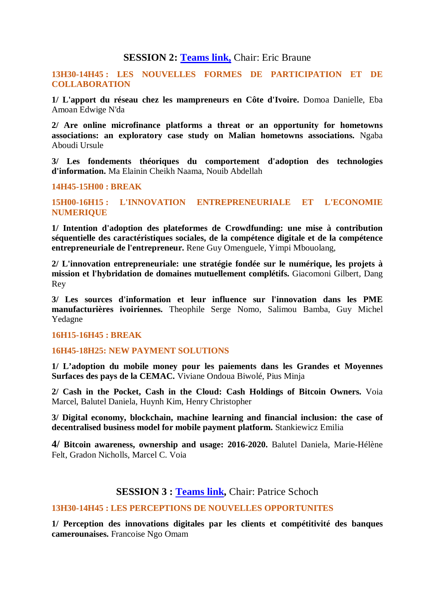### **SESSION 2: [Teams link,](https://teams.microsoft.com/l/meetup-join/19%3ameeting_OGU1NGViN2MtMGRiYi00ZjNkLWI3ODAtYzFlNTJkMjc5MmRm%40thread.v2/0?context=%7b%22Tid%22%3a%221eb34f73-38dd-42db-98db-53b54e749d52%22%2c%22Oid%22%3a%2279749557-aa14-4c9f-807b-7f857fc7220d%22%7d)** Chair: Eric Braune

**13H30-14H45 : LES NOUVELLES FORMES DE PARTICIPATION ET DE COLLABORATION** 

**1/ L'apport du réseau chez les mampreneurs en Côte d'Ivoire.** Domoa Danielle, Eba Amoan Edwige N'da

**2/ Are online microfinance platforms a threat or an opportunity for hometowns associations: an exploratory case study on Malian hometowns associations.** Ngaba Aboudi Ursule

**3/ Les fondements théoriques du comportement d'adoption des technologies d'information.** Ma Elainin Cheikh Naama, Nouib Abdellah

**14H45-15H00 : BREAK**

**15H00-16H15 : L'INNOVATION ENTREPRENEURIALE ET L'ECONOMIE NUMERIQUE** 

**1/ Intention d'adoption des plateformes de Crowdfunding: une mise à contribution séquentielle des caractéristiques sociales, de la compétence digitale et de la compétence entrepreneuriale de l'entrepreneur.** Rene Guy Omenguele, Yimpi Mbouolang,

**2/ L'innovation entrepreneuriale: une stratégie fondée sur le numérique, les projets à mission et l'hybridation de domaines mutuellement complétifs.** Giacomoni Gilbert, Dang Rey

**3/ Les sources d'information et leur influence sur l'innovation dans les PME manufacturières ivoiriennes.** Theophile Serge Nomo, Salimou Bamba, Guy Michel Yedagne

#### **16H15-16H45 : BREAK**

#### **16H45-18H25: NEW PAYMENT SOLUTIONS**

**1/ L'adoption du mobile money pour les paiements dans les Grandes et Moyennes Surfaces des pays de la CEMAC.** Viviane Ondoua Biwolé, Pius Minja

**2/ Cash in the Pocket, Cash in the Cloud: Cash Holdings of Bitcoin Owners.** Voia Marcel, Balutel Daniela, Huynh Kim, Henry Christopher

**3/ Digital economy, blockchain, machine learning and financial inclusion: the case of decentralised business model for mobile payment platform.** Stankiewicz Emilia

**4/ Bitcoin awareness, ownership and usage: 2016-2020.** Balutel Daniela, Marie-Hélène Felt, Gradon Nicholls, Marcel C. Voia

#### **SESSION 3 : [Teams link,](https://teams.microsoft.com/l/meetup-join/19%3ameeting_YzQwMDIyYmMtYmU2NC00YTA0LWFmYTMtZjAwY2M3NjhjZmE4%40thread.v2/0?context=%7b%22Tid%22%3a%2241de3d62-e522-457d-af39-e4a9ecf064f8%22%2c%22Oid%22%3a%221f9f3c27-d044-4d2d-942f-5886ebad09ab%22%7d)** Chair: Patrice Schoch

#### **13H30-14H45 : LES PERCEPTIONS DE NOUVELLES OPPORTUNITES**

**1/ Perception des innovations digitales par les clients et compétitivité des banques camerounaises.** Francoise Ngo Omam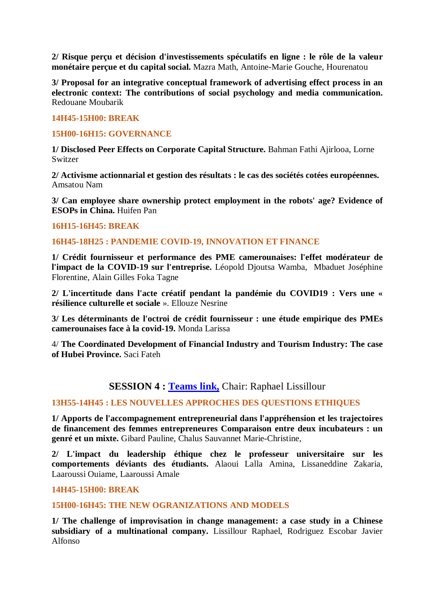**2/ Risque perçu et décision d'investissements spéculatifs en ligne : le rôle de la valeur monétaire perçue et du capital social.** Mazra Math, Antoine-Marie Gouche, Hourenatou

**3/ Proposal for an integrative conceptual framework of advertising effect process in an electronic context: The contributions of social psychology and media communication.**  Redouane Moubarik

#### **14H45-15H00: BREAK**

#### **15H00-16H15: GOVERNANCE**

**1/ Disclosed Peer Effects on Corporate Capital Structure.** Bahman Fathi Ajirlooa, Lorne Switzer

**2/ Activisme actionnarial et gestion des résultats : le cas des sociétés cotées européennes.**  Amsatou Nam

**3/ Can employee share ownership protect employment in the robots' age? Evidence of ESOPs in China.** Huifen Pan

#### **16H15-16H45: BREAK**

#### **16H45-18H25 : PANDEMIE COVID-19, INNOVATION ET FINANCE**

**1/ Crédit fournisseur et performance des PME camerounaises: l'effet modérateur de l'impact de la COVID-19 sur l'entreprise.** Léopold Djoutsa Wamba, Mbaduet Joséphine Florentine, Alain Gilles Foka Tagne

**2/ L'incertitude dans l'acte créatif pendant la pandémie du COVID19 : Vers une « résilience culturelle et sociale** ». Ellouze Nesrine

**3/ Les déterminants de l'octroi de crédit fournisseur : une étude empirique des PMEs camerounaises face à la covid-19.** Monda Larissa

4/ **The Coordinated Development of Financial Industry and Tourism Industry: The case of Hubei Province.** Saci Fateh

#### **SESSION 4 : [Teams link,](https://teams.microsoft.com/l/meetup-join/19%3ameeting_NTBkZThiNDEtMjI2Yi00ZmMxLWJjOGYtM2RmODYyYTQ0ZDlm%40thread.v2/0?context=%7b%22Tid%22%3a%2241de3d62-e522-457d-af39-e4a9ecf064f8%22%2c%22Oid%22%3a%2253a7f183-c631-43e1-9568-65640adbad3b%22%7d)** Chair: Raphael Lissillour

#### **13H55-14H45 : LES NOUVELLES APPROCHES DES QUESTIONS ETHIQUES**

**1/ Apports de l'accompagnement entrepreneurial dans l'appréhension et les trajectoires de financement des femmes entrepreneures Comparaison entre deux incubateurs : un genré et un mixte.** Gibard Pauline, Chalus Sauvannet Marie-Christine,

**2/ L'impact du leadership éthique chez le professeur universitaire sur les comportements déviants des étudiants.** Alaoui Lalla Amina, Lissaneddine Zakaria, Laaroussi Ouiame, Laaroussi Amale

#### **14H45-15H00: BREAK**

#### **15H00-16H45: THE NEW OGRANIZATIONS AND MODELS**

**1/ The challenge of improvisation in change management: a case study in a Chinese subsidiary of a multinational company.** Lissillour Raphael, Rodriguez Escobar Javier Alfonso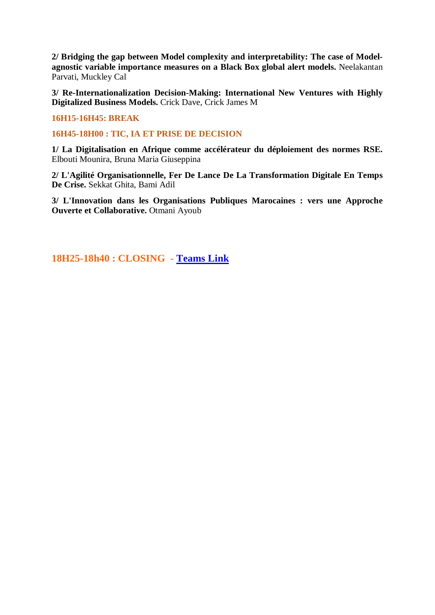**2/ Bridging the gap between Model complexity and interpretability: The case of Modelagnostic variable importance measures on a Black Box global alert models.** Neelakantan Parvati, Muckley Cal

**3/ Re-Internationalization Decision-Making: International New Ventures with Highly Digitalized Business Models.** Crick Dave, Crick James M

**16H15-16H45: BREAK**

**16H45-18H00 : TIC, IA ET PRISE DE DECISION**

**1/ La Digitalisation en Afrique comme accélérateur du déploiement des normes RSE.**  Elbouti Mounira, Bruna Maria Giuseppina

**2/ L'Agilité Organisationnelle, Fer De Lance De La Transformation Digitale En Temps De Crise.** Sekkat Ghita, Bami Adil

**3/ L'Innovation dans les Organisations Publiques Marocaines : vers une Approche Ouverte et Collaborative.** Otmani Ayoub

**18H25-18h40 : CLOSING - [Teams Link](https://teams.microsoft.com/l/meetup-join/19%3ameeting_MjEwOGM2ZDAtNmRjYi00MTAxLWFmZDAtNTdjYzg5MjVhMjYx%40thread.v2/0?context=%7b%22Tid%22%3a%2241de3d62-e522-457d-af39-e4a9ecf064f8%22%2c%22Oid%22%3a%226369320a-2826-4fab-ab34-9fd6f78079dd%22%7d)**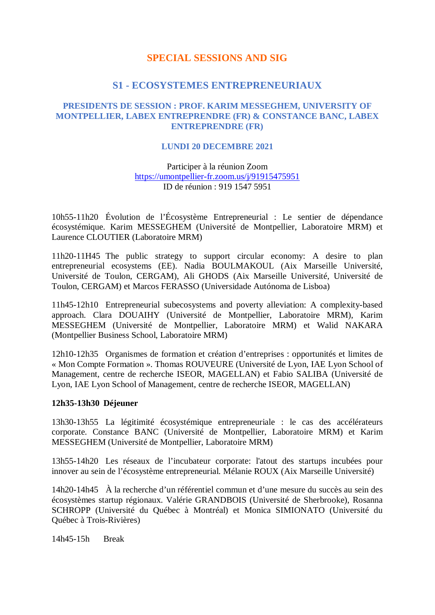### **SPECIAL SESSIONS AND SIG**

#### **S1 - ECOSYSTEMES ENTREPRENEURIAUX**

#### **PRESIDENTS DE SESSION : PROF. KARIM MESSEGHEM, UNIVERSITY OF MONTPELLIER, LABEX ENTREPRENDRE (FR) & CONSTANCE BANC, LABEX ENTREPRENDRE (FR)**

#### **LUNDI 20 DECEMBRE 2021**

Participer à la réunion Zoom <https://umontpellier-fr.zoom.us/j/91915475951> ID de réunion : 919 1547 5951

10h55-11h20 Évolution de l'Écosystème Entrepreneurial : Le sentier de dépendance écosystémique. Karim MESSEGHEM (Université de Montpellier, Laboratoire MRM) et Laurence CLOUTIER (Laboratoire MRM)

11h20-11H45 The public strategy to support circular economy: A desire to plan entrepreneurial ecosystems (EE). Nadia BOULMAKOUL (Aix Marseille Université, Université de Toulon, CERGAM), Ali GHODS (Aix Marseille Université, Université de Toulon, CERGAM) et Marcos FERASSO (Universidade Autónoma de Lisboa)

11h45-12h10 Entrepreneurial subecosystems and poverty alleviation: A complexity-based approach. Clara DOUAIHY (Université de Montpellier, Laboratoire MRM), Karim MESSEGHEM (Université de Montpellier, Laboratoire MRM) et Walid NAKARA (Montpellier Business School, Laboratoire MRM)

12h10-12h35 Organismes de formation et création d'entreprises : opportunités et limites de « Mon Compte Formation ». Thomas ROUVEURE (Université de Lyon, IAE Lyon School of Management, centre de recherche ISEOR, MAGELLAN) et Fabio SALIBA (Université de Lyon, IAE Lyon School of Management, centre de recherche ISEOR, MAGELLAN)

#### **12h35-13h30 Déjeuner**

13h30-13h55 La légitimité écosystémique entrepreneuriale : le cas des accélérateurs corporate. Constance BANC (Université de Montpellier, Laboratoire MRM) et Karim MESSEGHEM (Université de Montpellier, Laboratoire MRM)

13h55-14h20 Les réseaux de l'incubateur corporate: l'atout des startups incubées pour innover au sein de l'écosystème entrepreneurial. Mélanie ROUX (Aix Marseille Université)

14h20-14h45 À la recherche d'un référentiel commun et d'une mesure du succès au sein des écosystèmes startup régionaux. Valérie GRANDBOIS (Université de Sherbrooke), Rosanna SCHROPP (Université du Québec à Montréal) et Monica SIMIONATO (Université du Québec à Trois-Rivières)

14h45-15h Break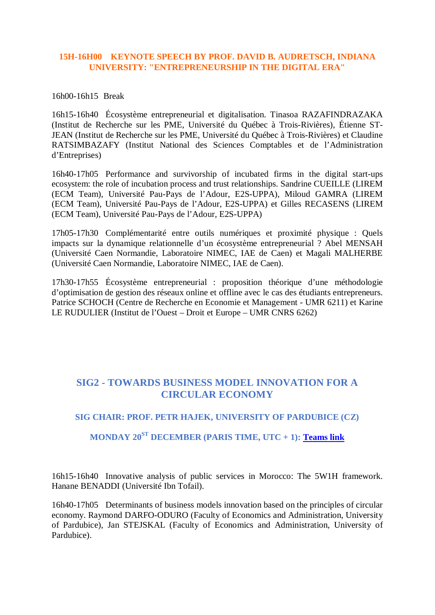#### **15H-16H00 KEYNOTE SPEECH BY PROF. DAVID B. AUDRETSCH, INDIANA UNIVERSITY: "ENTREPRENEURSHIP IN THE DIGITAL ERA"**

#### 16h00-16h15 Break

16h15-16h40 Écosystème entrepreneurial et digitalisation. Tinasoa RAZAFINDRAZAKA (Institut de Recherche sur les PME, Université du Québec à Trois-Rivières), Étienne ST-JEAN (Institut de Recherche sur les PME, Université du Québec à Trois-Rivières) et Claudine RATSIMBAZAFY (Institut National des Sciences Comptables et de l'Administration d'Entreprises)

16h40-17h05 Performance and survivorship of incubated firms in the digital start-ups ecosystem: the role of incubation process and trust relationships. Sandrine CUEILLE (LIREM (ECM Team), Université Pau-Pays de l'Adour, E2S-UPPA), Miloud GAMRA (LIREM (ECM Team), Université Pau-Pays de l'Adour, E2S-UPPA) et Gilles RECASENS (LIREM (ECM Team), Université Pau-Pays de l'Adour, E2S-UPPA)

17h05-17h30 Complémentarité entre outils numériques et proximité physique : Quels impacts sur la dynamique relationnelle d'un écosystème entrepreneurial ? Abel MENSAH (Université Caen Normandie, Laboratoire NIMEC, IAE de Caen) et Magali MALHERBE (Université Caen Normandie, Laboratoire NIMEC, IAE de Caen).

17h30-17h55 Écosystème entrepreneurial : proposition théorique d'une méthodologie d'optimisation de gestion des réseaux online et offline avec le cas des étudiants entrepreneurs. Patrice SCHOCH (Centre de Recherche en Economie et Management - UMR 6211) et Karine LE RUDULIER (Institut de l'Ouest – Droit et Europe – UMR CNRS 6262)

# **SIG2 - TOWARDS BUSINESS MODEL INNOVATION FOR A CIRCULAR ECONOMY**

#### **SIG CHAIR: PROF. PETR HAJEK, UNIVERSITY OF PARDUBICE (CZ)**

# **MONDAY 20ST DECEMBER (PARIS TIME, UTC + 1): [Teams link](https://teams.microsoft.com/l/meetup-join/19%3ameeting_NGVkYjkxY2EtMzdkMi00MGZiLWE3YzktZTUxNzgyNTM1Njhl%40thread.v2/0?context=%7b%22Tid%22%3a%2241de3d62-e522-457d-af39-e4a9ecf064f8%22%2c%22Oid%22%3a%2253a7f183-c631-43e1-9568-65640adbad3b%22%7d)**

16h15-16h40 Innovative analysis of public services in Morocco: The 5W1H framework. Hanane BENADDI (Université Ibn Tofail).

16h40-17h05 Determinants of business models innovation based on the principles of circular economy. Raymond DARFO-ODURO (Faculty of Economics and Administration, University of Pardubice), Jan STEJSKAL (Faculty of Economics and Administration, University of Pardubice).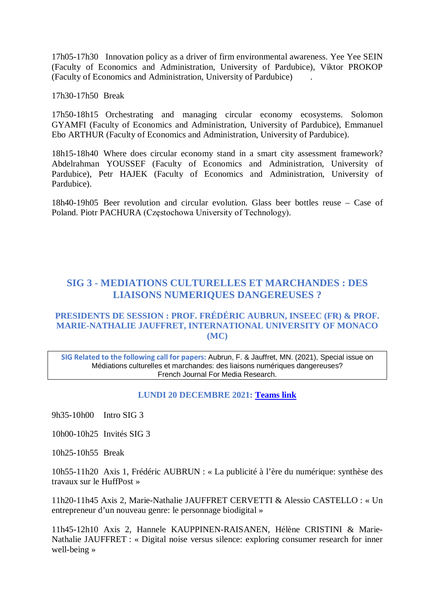17h05-17h30 Innovation policy as a driver of firm environmental awareness. Yee Yee SEIN (Faculty of Economics and Administration, University of Pardubice), Viktor PROKOP (Faculty of Economics and Administration, University of Pardubice) .

17h30-17h50 Break

17h50-18h15 Orchestrating and managing circular economy ecosystems. Solomon GYAMFI (Faculty of Economics and Administration, University of Pardubice), Emmanuel Ebo ARTHUR (Faculty of Economics and Administration, University of Pardubice).

18h15-18h40 Where does circular economy stand in a smart city assessment framework? Abdelrahman YOUSSEF (Faculty of Economics and Administration, University of Pardubice), Petr HAJEK (Faculty of Economics and Administration, University of Pardubice).

18h40-19h05 Beer revolution and circular evolution. Glass beer bottles reuse – Case of Poland. Piotr PACHURA (Częstochowa University of Technology).

# **SIG 3 - MEDIATIONS CULTURELLES ET MARCHANDES : DES LIAISONS NUMERIQUES DANGEREUSES ?**

#### **PRESIDENTS DE SESSION : PROF. FRÉDÉRIC AUBRUN, INSEEC (FR) & PROF. MARIE-NATHALIE JAUFFRET, INTERNATIONAL UNIVERSITY OF MONACO (MC)**

**SIG Related to the following call for papers:** Aubrun, F. & Jauffret, MN. (2021), Special issue on Médiations culturelles et marchandes: des liaisons numériques dangereuses? French Journal For Media Research.

#### **LUNDI 20 DECEMBRE 2021: [Teams link](https://teams.microsoft.com/l/meetup-join/19%3ameeting_YmQyOGU4NjktZDI0Ny00Y2EzLTk4ZGItNzE5MTdhODhlNzc1%40thread.v2/0?context=%7b%22Tid%22%3a%22a2697119-66c5-4126-9991-b0a8d15d367f%22%2c%22Oid%22%3a%2274723731-47b5-465c-b0a8-51147b65a505%22%7d)**

9h35-10h00 Intro SIG 3

10h00-10h25 Invités SIG 3

10h25-10h55 Break

10h55-11h20 Axis 1, Frédéric AUBRUN : « La publicité à l'ère du numérique: synthèse des travaux sur le HuffPost »

11h20-11h45 Axis 2, Marie-Nathalie JAUFFRET CERVETTI & Alessio CASTELLO : « Un entrepreneur d'un nouveau genre: le personnage biodigital »

11h45-12h10 Axis 2, Hannele KAUPPINEN-RAISANEN, Hélène CRISTINI & Marie-Nathalie JAUFFRET : « Digital noise versus silence: exploring consumer research for inner well-being »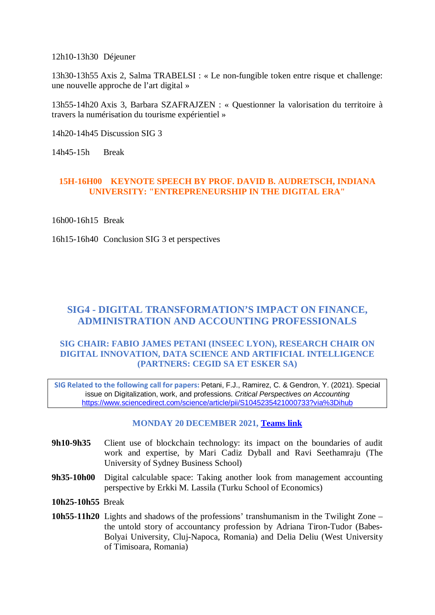12h10-13h30 Déjeuner

13h30-13h55 Axis 2, Salma TRABELSI : « Le non-fungible token entre risque et challenge: une nouvelle approche de l'art digital »

13h55-14h20 Axis 3, Barbara SZAFRAJZEN : « Questionner la valorisation du territoire à travers la numérisation du tourisme expérientiel »

14h20-14h45 Discussion SIG 3

14h45-15h Break

#### **15H-16H00 KEYNOTE SPEECH BY PROF. DAVID B. AUDRETSCH, INDIANA UNIVERSITY: "ENTREPRENEURSHIP IN THE DIGITAL ERA"**

16h00-16h15 Break

16h15-16h40 Conclusion SIG 3 et perspectives

# **SIG4 - DIGITAL TRANSFORMATION'S IMPACT ON FINANCE, ADMINISTRATION AND ACCOUNTING PROFESSIONALS**

#### **SIG CHAIR: FABIO JAMES PETANI (INSEEC LYON), RESEARCH CHAIR ON DIGITAL INNOVATION, DATA SCIENCE AND ARTIFICIAL INTELLIGENCE (PARTNERS: CEGID SA ET ESKER SA)**

**SIG Related to the following call for papers:** Petani, F.J., Ramirez, C. & Gendron, Y. (2021). Special issue on Digitalization, work, and professions. *Critical Perspectives on Accounting* <https://www.sciencedirect.com/science/article/pii/S1045235421000733?via%3Dihub>

#### **MONDAY 20 DECEMBER 2021, [Teams link](https://teams.microsoft.com/l/meetup-join/19%3ameeting_Zjg4MzU3MjEtMjVjYi00Yzg3LWEyY2UtNTdjZThmMjA4ZDEy%40thread.v2/0?context=%7b%22Tid%22%3a%221eb34f73-38dd-42db-98db-53b54e749d52%22%2c%22Oid%22%3a%221cadae85-ed9d-4119-94ea-08f4ab791f68%22%7d)**

- **9h10-9h35** Client use of blockchain technology: its impact on the boundaries of audit work and expertise, by Mari Cadiz Dyball and Ravi Seethamraju (The University of Sydney Business School)
- **9h35-10h00** Digital calculable space: Taking another look from management accounting perspective by Erkki M. Lassila (Turku School of Economics)
- **10h25-10h55** Break
- **10h55-11h20** Lights and shadows of the professions' transhumanism in the Twilight Zone the untold story of accountancy profession by Adriana Tiron-Tudor (Babes-Bolyai University, Cluj-Napoca, Romania) and Delia Deliu (West University of Timisoara, Romania)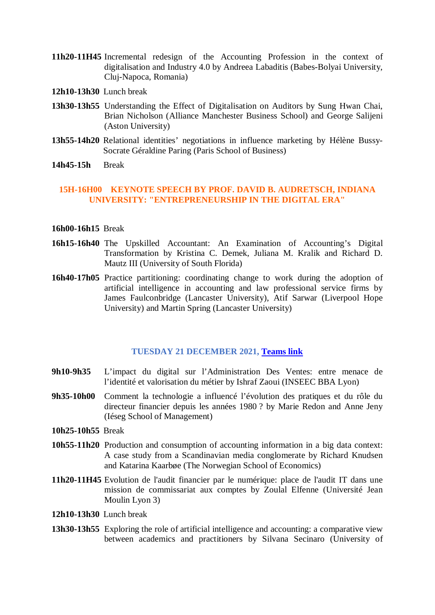- **11h20-11H45** Incremental redesign of the Accounting Profession in the context of digitalisation and Industry 4.0 by Andreea Labaditis (Babes-Bolyai University, Cluj-Napoca, Romania)
- **12h10-13h30** Lunch break
- **13h30-13h55** Understanding the Effect of Digitalisation on Auditors by Sung Hwan Chai, Brian Nicholson (Alliance Manchester Business School) and George Salijeni (Aston University)
- **13h55-14h20** Relational identities' negotiations in influence marketing by Hélène Bussy-Socrate Géraldine Paring (Paris School of Business)
- **14h45-15h** Break

#### **15H-16H00 KEYNOTE SPEECH BY PROF. DAVID B. AUDRETSCH, INDIANA UNIVERSITY: "ENTREPRENEURSHIP IN THE DIGITAL ERA"**

#### **16h00-16h15** Break

- **16h15-16h40** The Upskilled Accountant: An Examination of Accounting's Digital Transformation by Kristina C. Demek, Juliana M. Kralik and Richard D. Mautz III (University of South Florida)
- **16h40-17h05** Practice partitioning: coordinating change to work during the adoption of artificial intelligence in accounting and law professional service firms by James Faulconbridge (Lancaster University), Atif Sarwar (Liverpool Hope University) and Martin Spring (Lancaster University)

#### **TUESDAY 21 DECEMBER 2021, [Teams link](https://teams.microsoft.com/l/meetup-join/19%3ameeting_YTVkMzk1ODktOGQ3NC00ODY5LWE1ZDYtZTA0MTFiMDM2NDg4%40thread.v2/0?context=%7b%22Tid%22%3a%221eb34f73-38dd-42db-98db-53b54e749d52%22%2c%22Oid%22%3a%221cadae85-ed9d-4119-94ea-08f4ab791f68%22%7d)**

- **9h10-9h35** L'impact du digital sur l'Administration Des Ventes: entre menace de l'identité et valorisation du métier by Ishraf Zaoui (INSEEC BBA Lyon)
- **9h35-10h00** Comment la technologie a influencé l'évolution des pratiques et du rôle du directeur financier depuis les années 1980 ? by Marie Redon and Anne Jeny (Iéseg School of Management)
- **10h25-10h55** Break
- **10h55-11h20** Production and consumption of accounting information in a big data context: A case study from a Scandinavian media conglomerate by Richard Knudsen and Katarina Kaarbøe (The Norwegian School of Economics)
- **11h20-11H45** Evolution de l'audit financier par le numérique: place de l'audit IT dans une mission de commissariat aux comptes by Zoulal Elfenne (Université Jean Moulin Lyon 3)
- **12h10-13h30** Lunch break
- **13h30-13h55** Exploring the role of artificial intelligence and accounting: a comparative view between academics and practitioners by Silvana Secinaro (University of